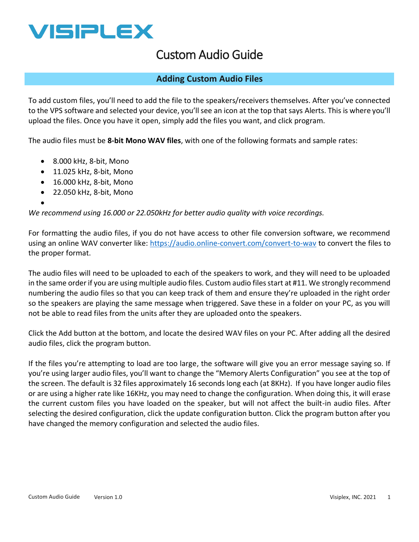

## Custom Audio Guide

## **Adding Custom Audio Files**

To add custom files, you'll need to add the file to the speakers/receivers themselves. After you've connected to the VPS software and selected your device, you'll see an icon at the top that says Alerts. This is where you'll upload the files. Once you have it open, simply add the files you want, and click program.

The audio files must be **8-bit Mono WAV files**, with one of the following formats and sample rates:

- 8.000 kHz, 8-bit, Mono
- 11.025 kHz, 8-bit, Mono
- 16.000 kHz, 8-bit, Mono
- 22.050 kHz, 8-bit, Mono
- •

*We recommend using 16.000 or 22.050kHz for better audio quality with voice recordings.* 

For formatting the audio files, if you do not have access to other file conversion software, we recommend using an online WAV converter like:<https://audio.online-convert.com/convert-to-wav>to convert the files to the proper format.

The audio files will need to be uploaded to each of the speakers to work, and they will need to be uploaded in the same order if you are using multiple audio files. Custom audio files start at #11. We strongly recommend numbering the audio files so that you can keep track of them and ensure they're uploaded in the right order so the speakers are playing the same message when triggered. Save these in a folder on your PC, as you will not be able to read files from the units after they are uploaded onto the speakers.

Click the Add button at the bottom, and locate the desired WAV files on your PC. After adding all the desired audio files, click the program button.

If the files you're attempting to load are too large, the software will give you an error message saying so. If you're using larger audio files, you'll want to change the "Memory Alerts Configuration" you see at the top of the screen. The default is 32 files approximately 16 seconds long each (at 8KHz). If you have longer audio files or are using a higher rate like 16KHz, you may need to change the configuration. When doing this, it will erase the current custom files you have loaded on the speaker, but will not affect the built-in audio files. After selecting the desired configuration, click the update configuration button. Click the program button after you have changed the memory configuration and selected the audio files.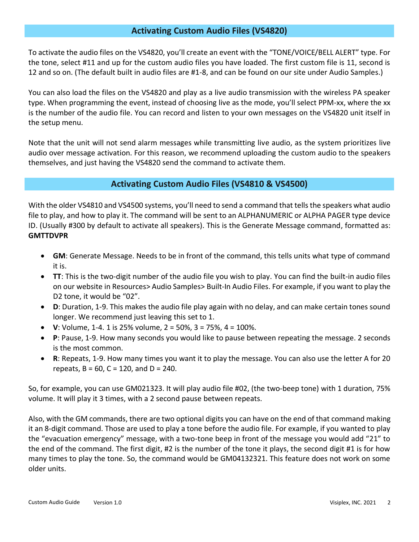## **Activating Custom Audio Files (VS4820)**

To activate the audio files on the VS4820, you'll create an event with the "TONE/VOICE/BELL ALERT" type. For the tone, select #11 and up for the custom audio files you have loaded. The first custom file is 11, second is 12 and so on. (The default built in audio files are #1-8, and can be found on our site under Audio Samples.)

You can also load the files on the VS4820 and play as a live audio transmission with the wireless PA speaker type. When programming the event, instead of choosing live as the mode, you'll select PPM-xx, where the xx is the number of the audio file. You can record and listen to your own messages on the VS4820 unit itself in the setup menu.

Note that the unit will not send alarm messages while transmitting live audio, as the system prioritizes live audio over message activation. For this reason, we recommend uploading the custom audio to the speakers themselves, and just having the VS4820 send the command to activate them.

## **Activating Custom Audio Files (VS4810 & VS4500)**

With the older VS4810 and VS4500 systems, you'll need to send a command that tells the speakers what audio file to play, and how to play it. The command will be sent to an ALPHANUMERIC or ALPHA PAGER type device ID. (Usually #300 by default to activate all speakers). This is the Generate Message command, formatted as: **GMTTDVPR**

- **GM**: Generate Message. Needs to be in front of the command, this tells units what type of command it is.
- **TT**: This is the two-digit number of the audio file you wish to play. You can find the built-in audio files on our website in Resources> Audio Samples> Built-In Audio Files. For example, if you want to play the D2 tone, it would be "02".
- **D**: Duration, 1-9. This makes the audio file play again with no delay, and can make certain tones sound longer. We recommend just leaving this set to 1.
- **V**: Volume, 1-4. 1 is 25% volume, 2 = 50%, 3 = 75%, 4 = 100%.
- **P**: Pause, 1-9. How many seconds you would like to pause between repeating the message. 2 seconds is the most common.
- **R**: Repeats, 1-9. How many times you want it to play the message. You can also use the letter A for 20 repeats,  $B = 60$ ,  $C = 120$ , and  $D = 240$ .

So, for example, you can use GM021323. It will play audio file #02, (the two-beep tone) with 1 duration, 75% volume. It will play it 3 times, with a 2 second pause between repeats.

Also, with the GM commands, there are two optional digits you can have on the end of that command making it an 8-digit command. Those are used to play a tone before the audio file. For example, if you wanted to play the "evacuation emergency" message, with a two-tone beep in front of the message you would add "21" to the end of the command. The first digit, #2 is the number of the tone it plays, the second digit #1 is for how many times to play the tone. So, the command would be GM04132321. This feature does not work on some older units.